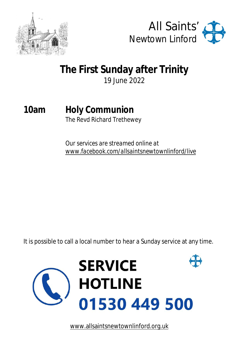



# **The First Sunday after Trinity**

19 June 2022

# **10am Holy Communion**

The Revd Richard Trethewey

*Our services are streamed online at [www.facebook.com/allsaintsnewtownlinford/live](http://www.facebook.com/allsaintsnewtownlinford/live)*

It is possible to call a local number to hear a Sunday service at any time.



[www.allsaintsnewtownlinford.org.uk](http://www.allsaintsnewtownlinford.org.uk)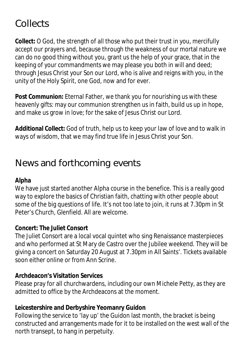## **Collects**

**Collect:** O God, the strength of all those who put their trust in you, mercifully accept our prayers and, because through the weakness of our mortal nature we can do no good thing without you, grant us the help of your grace, that in the keeping of your commandments we may please you both in will and deed; through Jesus Christ your Son our Lord, who is alive and reigns with you, in the unity of the Holy Spirit, one God, now and for ever.

**Post Communion:** Eternal Father, we thank you for nourishing us with these heavenly gifts: may our communion strengthen us in faith, build us up in hope, and make us grow in love; for the sake of Jesus Christ our Lord.

**Additional Collect:** God of truth, help us to keep your law of love and to walk in ways of wisdom, that we may find true life in Jesus Christ your Son.

### **News and forthcoming events**

#### **Alpha**

We have just started another Alpha course in the benefice. This is a really good way to explore the basics of Christian faith, chatting with other people about some of the big questions of life. It's not too late to join, it runs at 7.30pm in St Peter's Church, Glenfield. All are welcome.

#### **Concert: The Juliet Consort**

The Juliet Consort are a local vocal quintet who sing Renaissance masterpieces and who performed at St Mary de Castro over the Jubilee weekend. They will be giving a concert on Saturday 20 August at 7.30pm in All Saints'. Tickets available soon either online or from Ann Scrine.

#### **Archdeacon's Visitation Services**

Please pray for all churchwardens, including our own Michele Petty, as they are admitted to office by the Archdeacons at the moment.

#### **Leicestershire and Derbyshire Yeomanry Guidon**

Following the service to 'lay up' the Guidon last month, the bracket is being constructed and arrangements made for it to be installed on the west wall of the north transept, to hang in perpetuity.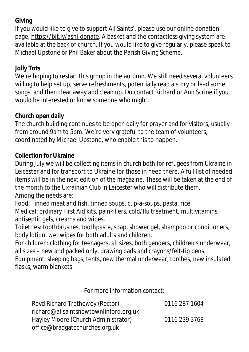#### **Giving**

If you would like to give to support All Saints', please use our online donation page, <https://bit.ly/asnl-donate.>A basket and the contactless giving system are available at the back of church. If you would like to give regularly, please speak to Michael Upstone or Phil Baker about the Parish Giving Scheme.

#### **Jolly Tots**

We're hoping to restart this group in the autumn. We still need several volunteers willing to help set up, serve refreshments, potentially read a story or lead some songs, and then clear away and clean up. Do contact Richard or Ann Scrine if you would be interested or know someone who might.

#### **Church open daily**

The church building continues to be open daily for prayer and for visitors, usually from around 9am to 5pm. We're very grateful to the team of volunteers, coordinated by Michael Upstone, who enable this to happen.

#### **Collection for Ukraine**

During July we will be collecting items in church both for refugees from Ukraine in Leicester and for transport to Ukraine for those in need there. A full list of needed items will be in the next edition of the magazine. These will be taken at the end of the month to the Ukrainian Club in Leicester who will distribute them. Among the needs are:

Food: Tinned meat and fish, tinned soups, cup-a-soups, pasta, rice.

Medical: ordinary First Aid kits, painkillers, cold/flu treatment, multivitamins, antiseptic gels, creams and wipes.

Toiletries: toothbrushes, toothpaste, soap, shower gel, shampoo or conditioners, body lotion, wet wipes for both adults and children.

For children: clothing for teenagers, all sizes, both genders, children's underwear, all sizes – new and packed only, drawing pads and crayons/felt-tip pens.

Equipment: sleeping bags, tents, new thermal underwear, torches, new insulated flasks, warm blankets.

For more information contact:

| Revd Richard Trethewey (Rector)        | 0116 287 1604 |
|----------------------------------------|---------------|
| richard@allsaintsnewtownlinford.org.uk |               |
| Hayley Moore (Church Administrator)    | 0116 239 3768 |
| office@bradgatechurches.org.uk         |               |